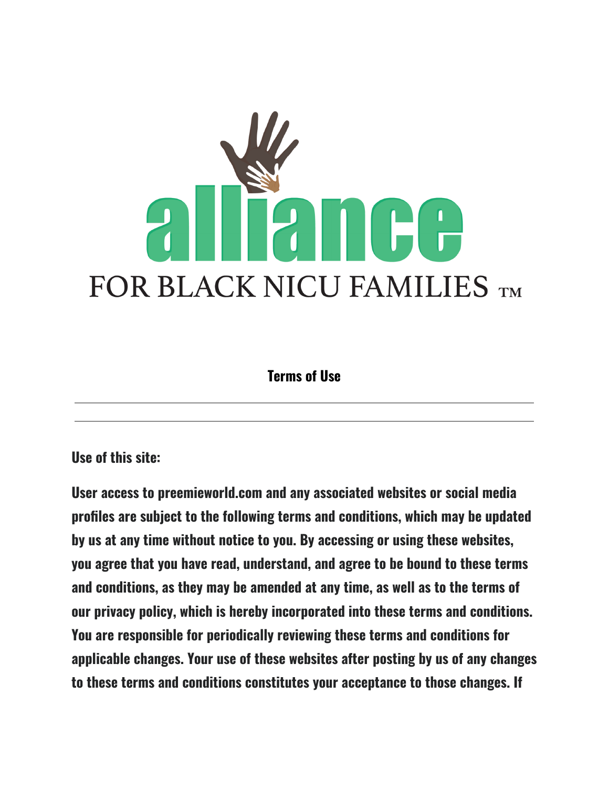

**Terms of Use**

**Use of this site:**

**User access to preemieworld.com and any associated websites or social media profiles are subject to the following terms and conditions, which may be updated by us at any time without notice to you. By accessing or using these websites, you agree that you have read, understand, and agree to be bound to these terms and conditions, as they may be amended at any time, as well as to the terms of our privacy policy, which is hereby incorporated into these terms and conditions. You are responsible for periodically reviewing these terms and conditions for applicable changes. Your use of these websites after posting by us of any changes to these terms and conditions constitutes your acceptance to those changes. If**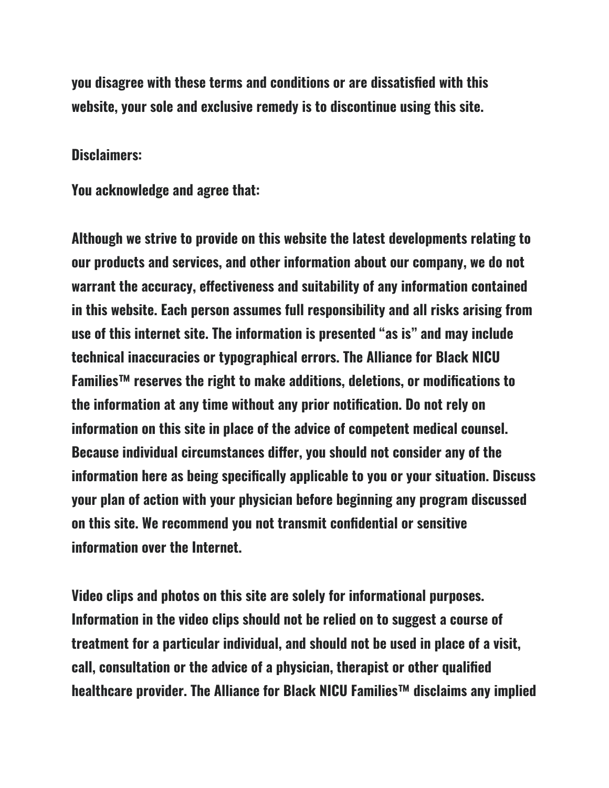**you disagree with these terms and conditions or are dissatisfied with this website, your sole and exclusive remedy is to discontinue using this site.**

#### **Disclaimers:**

**You acknowledge and agree that:**

**Although we strive to provide on this website the latest developments relating to our products and services, and other information about our company, we do not warrant the accuracy, effectiveness and suitability of any information contained in this website. Each person assumes full responsibility and all risks arising from use of this internet site. The information is presented "as is" and may include technical inaccuracies or typographical errors. The Alliance for Black NICU Families™ reserves the right to make additions, deletions, or modifications to the information at any time without any prior notification. Do not rely on information on this site in place of the advice of competent medical counsel. Because individual circumstances differ, you should not consider any of the information here as being specifically applicable to you or your situation. Discuss your plan of action with your physician before beginning any program discussed on this site. We recommend you not transmit confidential or sensitive information over the Internet.**

**Video clips and photos on this site are solely for informational purposes. Information in the video clips should not be relied on to suggest a course of treatment for a particular individual, and should not be used in place of a visit, call, consultation or the advice of a physician, therapist or other qualified healthcare provider. The Alliance for Black NICU Families™ disclaims any implied**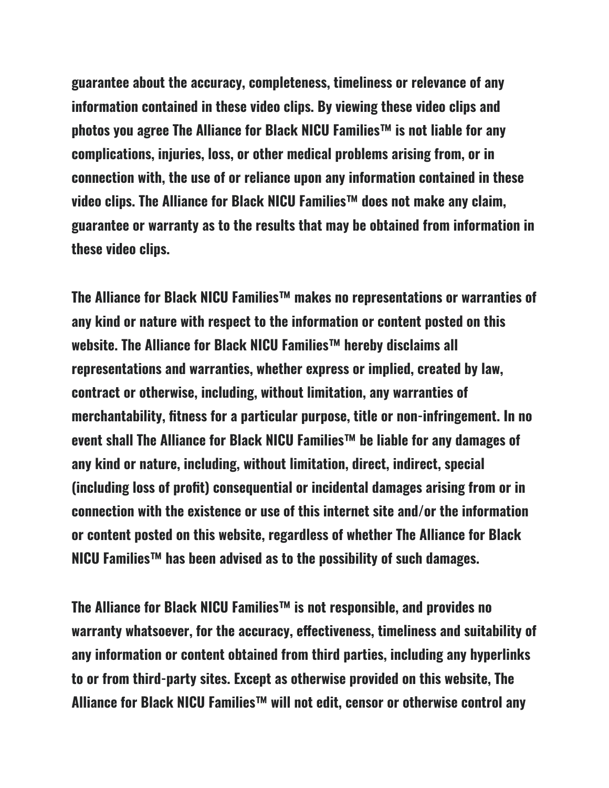**guarantee about the accuracy, completeness, timeliness or relevance of any information contained in these video clips. By viewing these video clips and photos you agree The Alliance for Black NICU Families™ is not liable for any complications, injuries, loss, or other medical problems arising from, or in connection with, the use of or reliance upon any information contained in these video clips. The Alliance for Black NICU Families™ does not make any claim, guarantee or warranty as to the results that may be obtained from information in these video clips.**

**The Alliance for Black NICU Families™ makes no representations or warranties of any kind or nature with respect to the information or content posted on this website. The Alliance for Black NICU Families™ hereby disclaims all representations and warranties, whether express or implied, created by law, contract or otherwise, including, without limitation, any warranties of merchantability, fitness for a particular purpose, title or non-infringement. In no event shall The Alliance for Black NICU Families™ be liable for any damages of any kind or nature, including, without limitation, direct, indirect, special (including loss of profit) consequential or incidental damages arising from or in connection with the existence or use of this internet site and/or the information or content posted on this website, regardless of whether The Alliance for Black NICU Families™ has been advised as to the possibility of such damages.**

**The Alliance for Black NICU Families™ is not responsible, and provides no warranty whatsoever, for the accuracy, effectiveness, timeliness and suitability of any information or content obtained from third parties, including any hyperlinks to or from third-party sites. Except as otherwise provided on this website, The Alliance for Black NICU Families™ will not edit, censor or otherwise control any**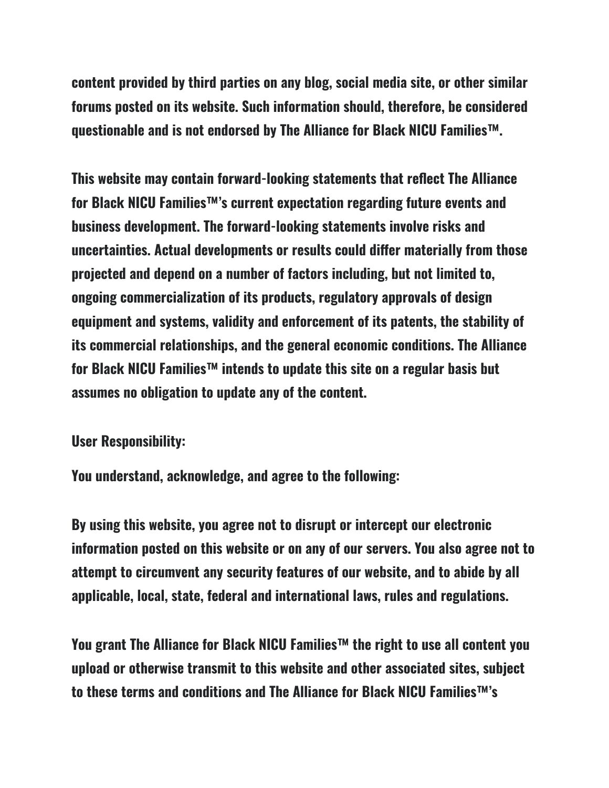**content provided by third parties on any blog, social media site, or other similar forums posted on its website. Such information should, therefore, be considered questionable and is not endorsed by The Alliance for Black NICU Families™.**

**This website may contain forward-looking statements that reflect The Alliance for Black NICU Families™'s current expectation regarding future events and business development. The forward-looking statements involve risks and uncertainties. Actual developments or results could differ materially from those projected and depend on a number of factors including, but not limited to, ongoing commercialization of its products, regulatory approvals of design equipment and systems, validity and enforcement of its patents, the stability of its commercial relationships, and the general economic conditions. The Alliance for Black NICU Families™ intends to update this site on a regular basis but assumes no obligation to update any of the content.**

**User Responsibility:**

**You understand, acknowledge, and agree to the following:**

**By using this website, you agree not to disrupt or intercept our electronic information posted on this website or on any of our servers. You also agree not to attempt to circumvent any security features of our website, and to abide by all applicable, local, state, federal and international laws, rules and regulations.**

**You grant The Alliance for Black NICU Families™ the right to use all content you upload or otherwise transmit to this website and other associated sites, subject to these terms and conditions and The Alliance for Black NICU Families™'s**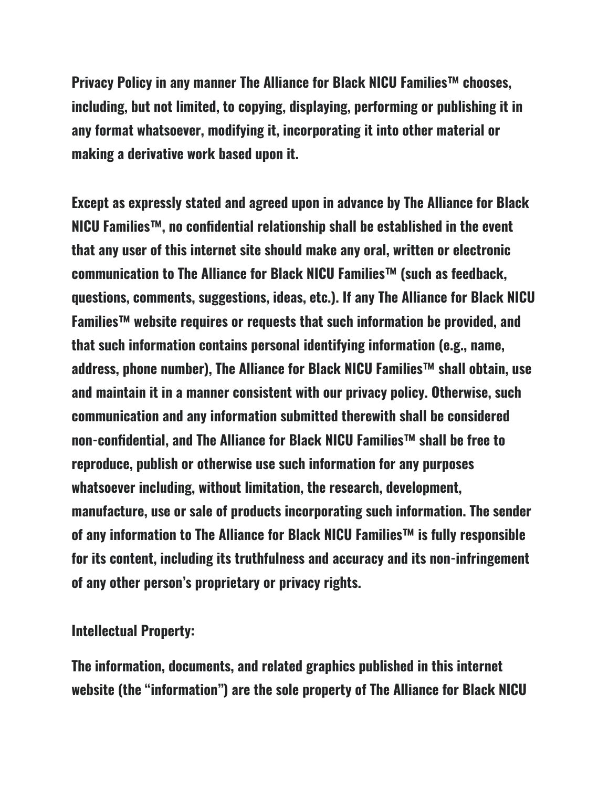**Privacy Policy in any manner The Alliance for Black NICU Families™ chooses, including, but not limited, to copying, displaying, performing or publishing it in any format whatsoever, modifying it, incorporating it into other material or making a derivative work based upon it.**

**Except as expressly stated and agreed upon in advance by The Alliance for Black NICU Families™, no confidential relationship shall be established in the event that any user of this internet site should make any oral, written or electronic communication to The Alliance for Black NICU Families™ (such as feedback, questions, comments, suggestions, ideas, etc.). If any The Alliance for Black NICU Families™ website requires or requests that such information be provided, and that such information contains personal identifying information (e.g., name, address, phone number), The Alliance for Black NICU Families™ shall obtain, use and maintain it in a manner consistent with our privacy policy. Otherwise, such communication and any information submitted therewith shall be considered non-confidential, and The Alliance for Black NICU Families™ shall be free to reproduce, publish or otherwise use such information for any purposes whatsoever including, without limitation, the research, development, manufacture, use or sale of products incorporating such information. The sender of any information to The Alliance for Black NICU Families™ is fully responsible for its content, including its truthfulness and accuracy and its non-infringement of any other person's proprietary or privacy rights.**

### **Intellectual Property:**

**The information, documents, and related graphics published in this internet website (the "information") are the sole property of The Alliance for Black NICU**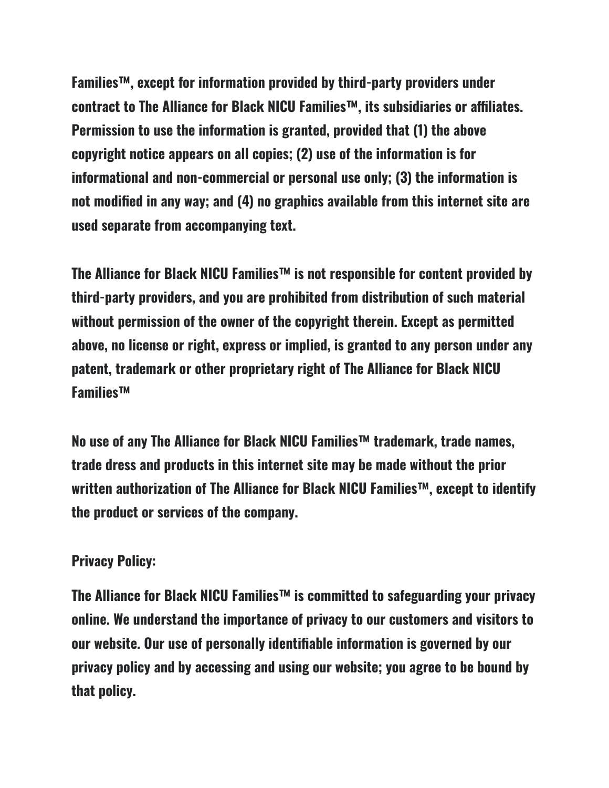**Families™, except for information provided by third-party providers under contract to The Alliance for Black NICU Families™, its subsidiaries or affiliates. Permission to use the information is granted, provided that (1) the above copyright notice appears on all copies; (2) use of the information is for informational and non-commercial or personal use only; (3) the information is not modified in any way; and (4) no graphics available from this internet site are used separate from accompanying text.**

**The Alliance for Black NICU Families™ is not responsible for content provided by third-party providers, and you are prohibited from distribution of such material without permission of the owner of the copyright therein. Except as permitted above, no license or right, express or implied, is granted to any person under any patent, trademark or other proprietary right of The Alliance for Black NICU Families™**

**No use of any The Alliance for Black NICU Families™ trademark, trade names, trade dress and products in this internet site may be made without the prior written authorization of The Alliance for Black NICU Families™, except to identify the product or services of the company.**

# **Privacy Policy:**

**The Alliance for Black NICU Families™ is committed to safeguarding your privacy online. We understand the importance of privacy to our customers and visitors to our website. Our use of personally identifiable information is governed by our privacy policy and by accessing and using our website; you agree to be bound by that policy.**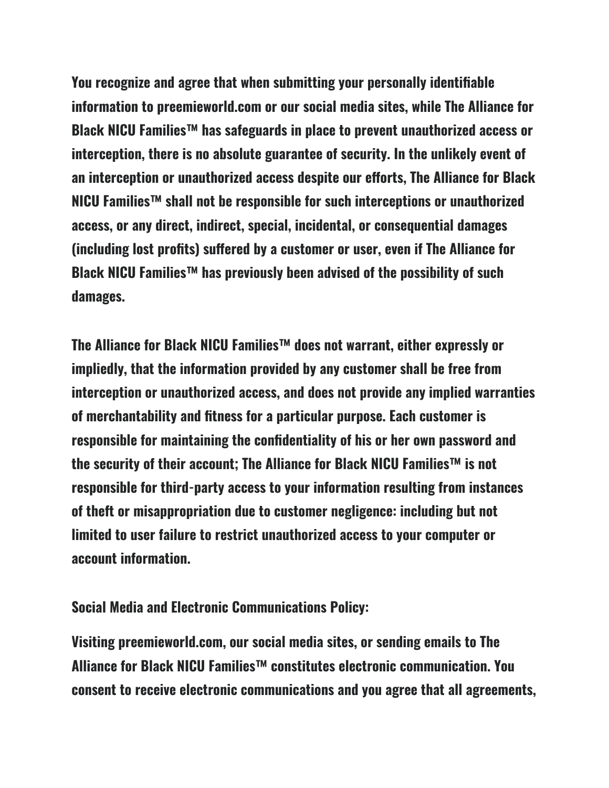**You recognize and agree that when submitting your personally identifiable information to preemieworld.com or our social media sites, while The Alliance for Black NICU Families™ has safeguards in place to prevent unauthorized access or interception, there is no absolute guarantee of security. In the unlikely event of an interception or unauthorized access despite our efforts, The Alliance for Black NICU Families™ shall not be responsible for such interceptions or unauthorized access, or any direct, indirect, special, incidental, or consequential damages (including lost profits) suffered by a customer or user, even if The Alliance for Black NICU Families™ has previously been advised of the possibility of such damages.**

**The Alliance for Black NICU Families™ does not warrant, either expressly or impliedly, that the information provided by any customer shall be free from interception or unauthorized access, and does not provide any implied warranties of merchantability and fitness for a particular purpose. Each customer is responsible for maintaining the confidentiality of his or her own password and the security of their account; The Alliance for Black NICU Families™ is not responsible for third-party access to your information resulting from instances of theft or misappropriation due to customer negligence: including but not limited to user failure to restrict unauthorized access to your computer or account information.**

### **Social Media and Electronic Communications Policy:**

**Visiting preemieworld.com, our social media sites, or sending emails to The Alliance for Black NICU Families™ constitutes electronic communication. You consent to receive electronic communications and you agree that all agreements,**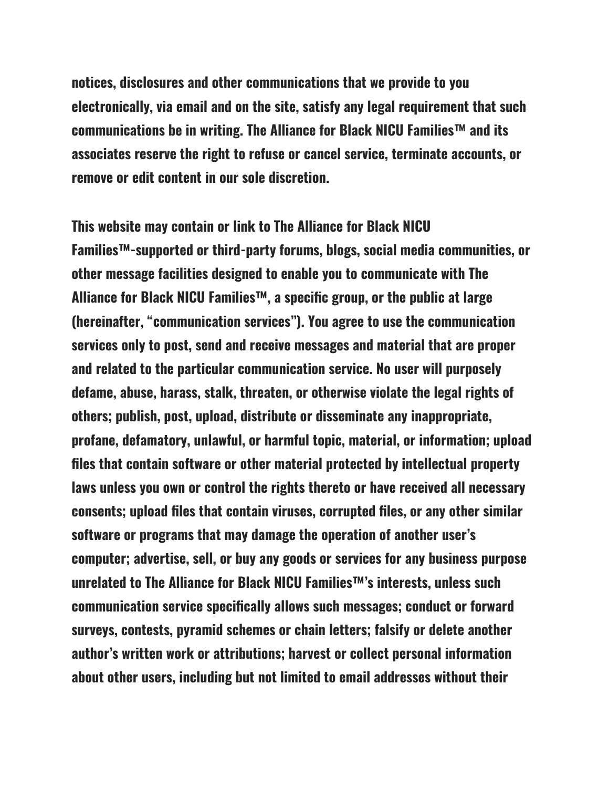**notices, disclosures and other communications that we provide to you electronically, via email and on the site, satisfy any legal requirement that such communications be in writing. The Alliance for Black NICU Families™ and its associates reserve the right to refuse or cancel service, terminate accounts, or remove or edit content in our sole discretion.**

**This website may contain or link to The Alliance for Black NICU Families™-supported or third-party forums, blogs, social media communities, or other message facilities designed to enable you to communicate with The Alliance for Black NICU Families™, a specific group, or the public at large (hereinafter, "communication services"). You agree to use the communication services only to post, send and receive messages and material that are proper and related to the particular communication service. No user will purposely defame, abuse, harass, stalk, threaten, or otherwise violate the legal rights of others; publish, post, upload, distribute or disseminate any inappropriate, profane, defamatory, unlawful, or harmful topic, material, or information; upload files that contain software or other material protected by intellectual property laws unless you own or control the rights thereto or have received all necessary consents; upload files that contain viruses, corrupted files, or any other similar software or programs that may damage the operation of another user's computer; advertise, sell, or buy any goods or services for any business purpose unrelated to The Alliance for Black NICU Families™'s interests, unless such communication service specifically allows such messages; conduct or forward surveys, contests, pyramid schemes or chain letters; falsify or delete another author's written work or attributions; harvest or collect personal information about other users, including but not limited to email addresses without their**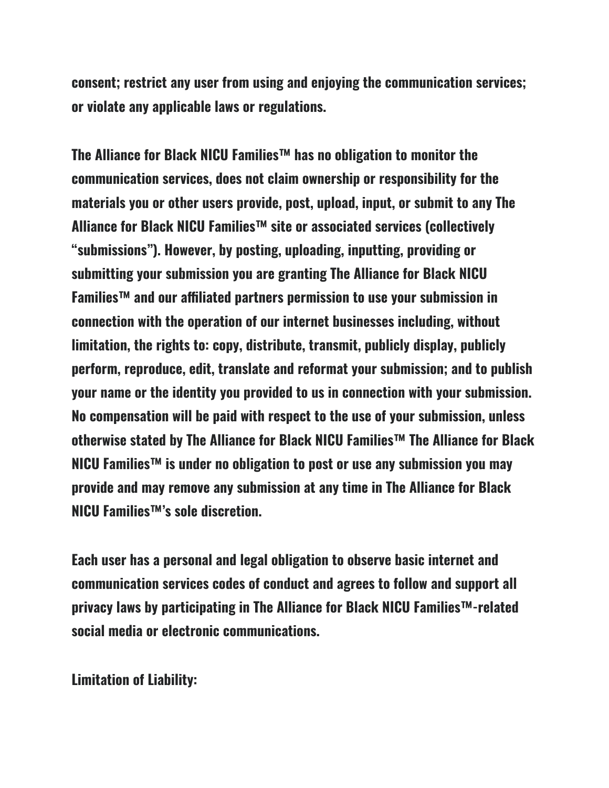**consent; restrict any user from using and enjoying the communication services; or violate any applicable laws or regulations.**

**The Alliance for Black NICU Families™ has no obligation to monitor the communication services, does not claim ownership or responsibility for the materials you or other users provide, post, upload, input, or submit to any The Alliance for Black NICU Families™ site or associated services (collectively "submissions"). However, by posting, uploading, inputting, providing or submitting your submission you are granting The Alliance for Black NICU Families™ and our affiliated partners permission to use your submission in connection with the operation of our internet businesses including, without limitation, the rights to: copy, distribute, transmit, publicly display, publicly perform, reproduce, edit, translate and reformat your submission; and to publish your name or the identity you provided to us in connection with your submission. No compensation will be paid with respect to the use of your submission, unless otherwise stated by The Alliance for Black NICU Families™ The Alliance for Black NICU Families™ is under no obligation to post or use any submission you may provide and may remove any submission at any time in The Alliance for Black NICU Families™'s sole discretion.**

**Each user has a personal and legal obligation to observe basic internet and communication services codes of conduct and agrees to follow and support all privacy laws by participating in The Alliance for Black NICU Families™-related social media or electronic communications.**

**Limitation of Liability:**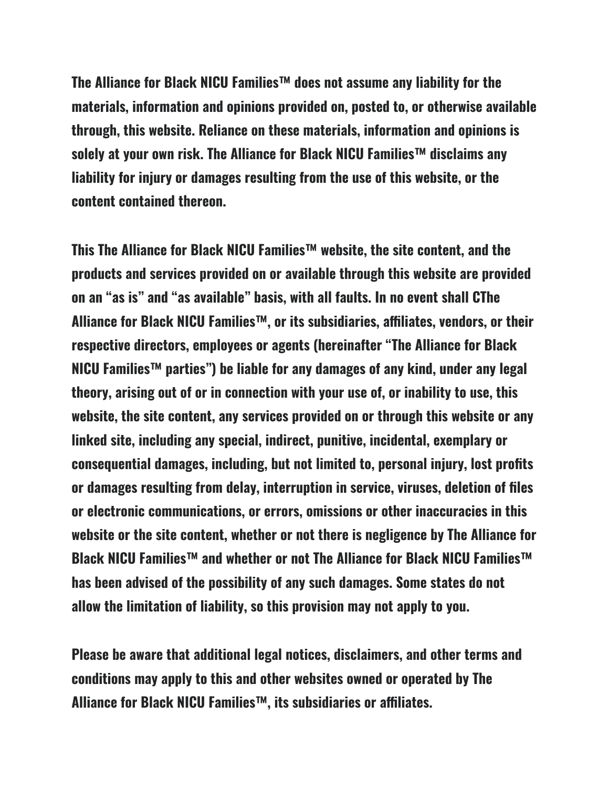**The Alliance for Black NICU Families™ does not assume any liability for the materials, information and opinions provided on, posted to, or otherwise available through, this website. Reliance on these materials, information and opinions is solely at your own risk. The Alliance for Black NICU Families™ disclaims any liability for injury or damages resulting from the use of this website, or the content contained thereon.**

**This The Alliance for Black NICU Families™ website, the site content, and the products and services provided on or available through this website are provided on an "as is" and "as available" basis, with all faults. In no event shall CThe Alliance for Black NICU Families™, or its subsidiaries, affiliates, vendors, or their respective directors, employees or agents (hereinafter "The Alliance for Black NICU Families™ parties") be liable for any damages of any kind, under any legal theory, arising out of or in connection with your use of, or inability to use, this website, the site content, any services provided on or through this website or any linked site, including any special, indirect, punitive, incidental, exemplary or consequential damages, including, but not limited to, personal injury, lost profits or damages resulting from delay, interruption in service, viruses, deletion of files or electronic communications, or errors, omissions or other inaccuracies in this website or the site content, whether or not there is negligence by The Alliance for Black NICU Families™ and whether or not The Alliance for Black NICU Families™ has been advised of the possibility of any such damages. Some states do not allow the limitation of liability, so this provision may not apply to you.**

**Please be aware that additional legal notices, disclaimers, and other terms and conditions may apply to this and other websites owned or operated by The Alliance for Black NICU Families™, its subsidiaries or affiliates.**